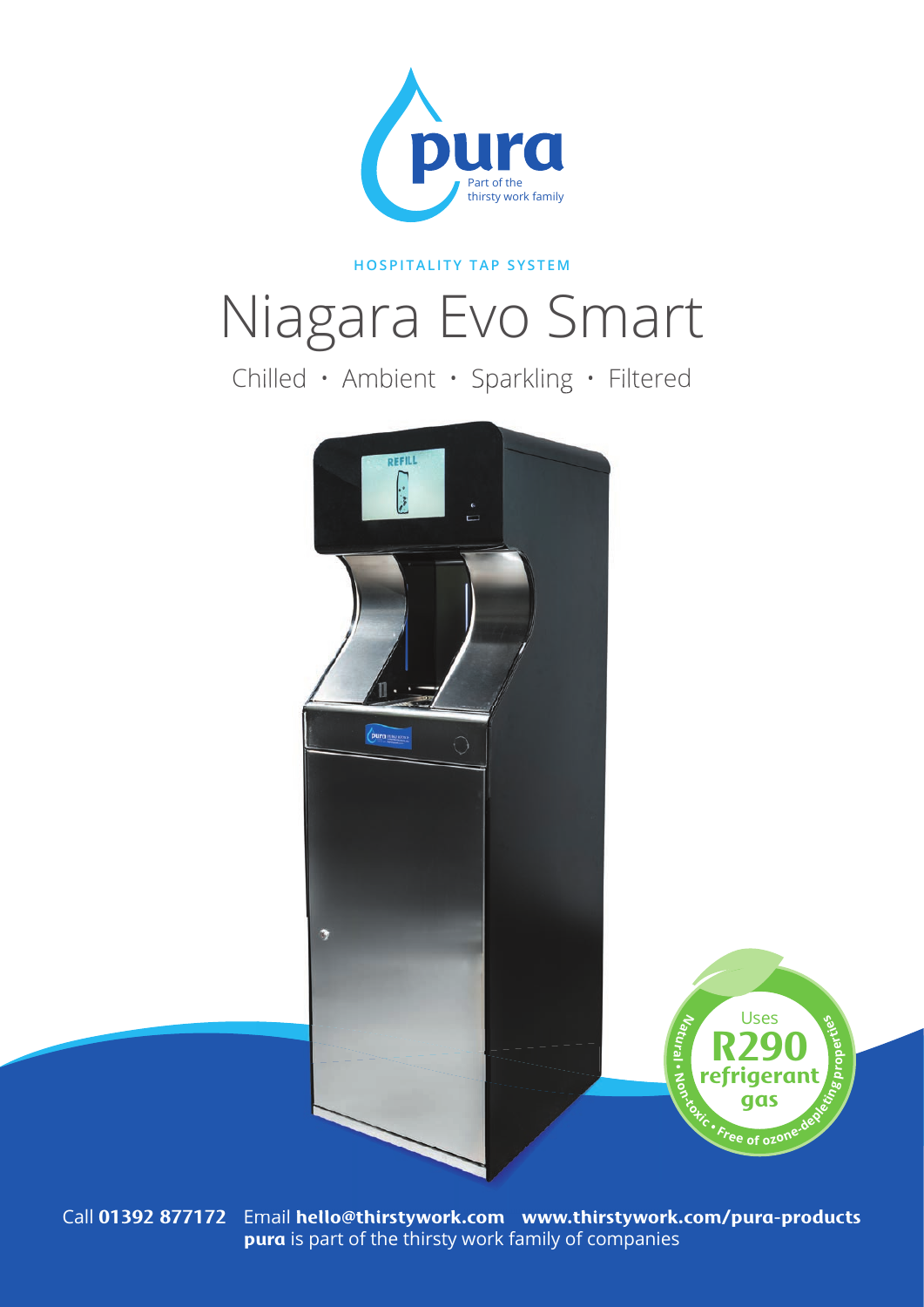

#### **HOSPITALITY TAP SYSTEM**

# Niagara Evo Smart

Chilled • Ambient • Sparkling • Filtered



Call **01392 877172** Email **hello@thirstywork.com www.thirstywork.com/pura-products pura** is part of the thirsty work family of companies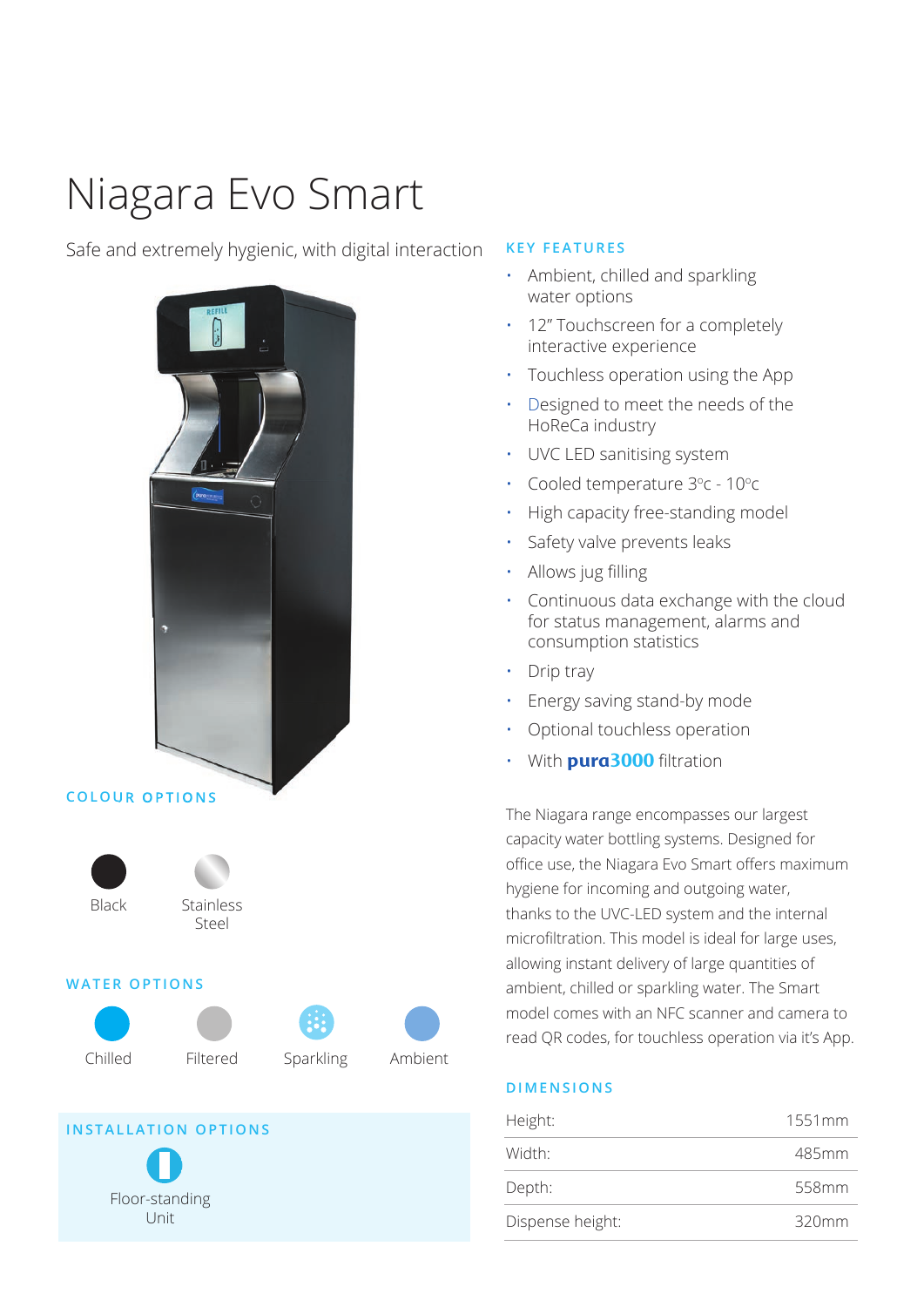## Niagara Evo Smart

#### Safe and extremely hygienic, with digital interaction



**INSTALLATION OPTIONS**

Floor-standing Unit

### **KEY FEATURES**

- Ambient, chilled and sparkling water options
- 12" Touchscreen for a completely interactive experience
- Touchless operation using the App
- Designed to meet the needs of the HoReCa industry
- UVC LED sanitising system
- Cooled temperature  $3^{\circ}$ c 10 $^{\circ}$ c
- High capacity free-standing model
- Safety valve prevents leaks
- Allows jug filling
- Continuous data exchange with the cloud for status management, alarms and consumption statistics
- Drip tray
- Energy saving stand-by mode
- Optional touchless operation
- With **pura3000** filtration

The Niagara range encompasses our largest capacity water bottling systems. Designed for office use, the Niagara Evo Smart offers maximum hygiene for incoming and outgoing water, thanks to the UVC-LED system and the internal microfiltration. This model is ideal for large uses, allowing instant delivery of large quantities of ambient, chilled or sparkling water. The Smart model comes with an NFC scanner and camera to read QR codes, for touchless operation via it's App.

#### **DIMENSIONS**

| Height:          | 1551mm   |
|------------------|----------|
| Width:           | 485mm    |
| Depth:           | 558mm    |
| Dispense height: | $320$ mm |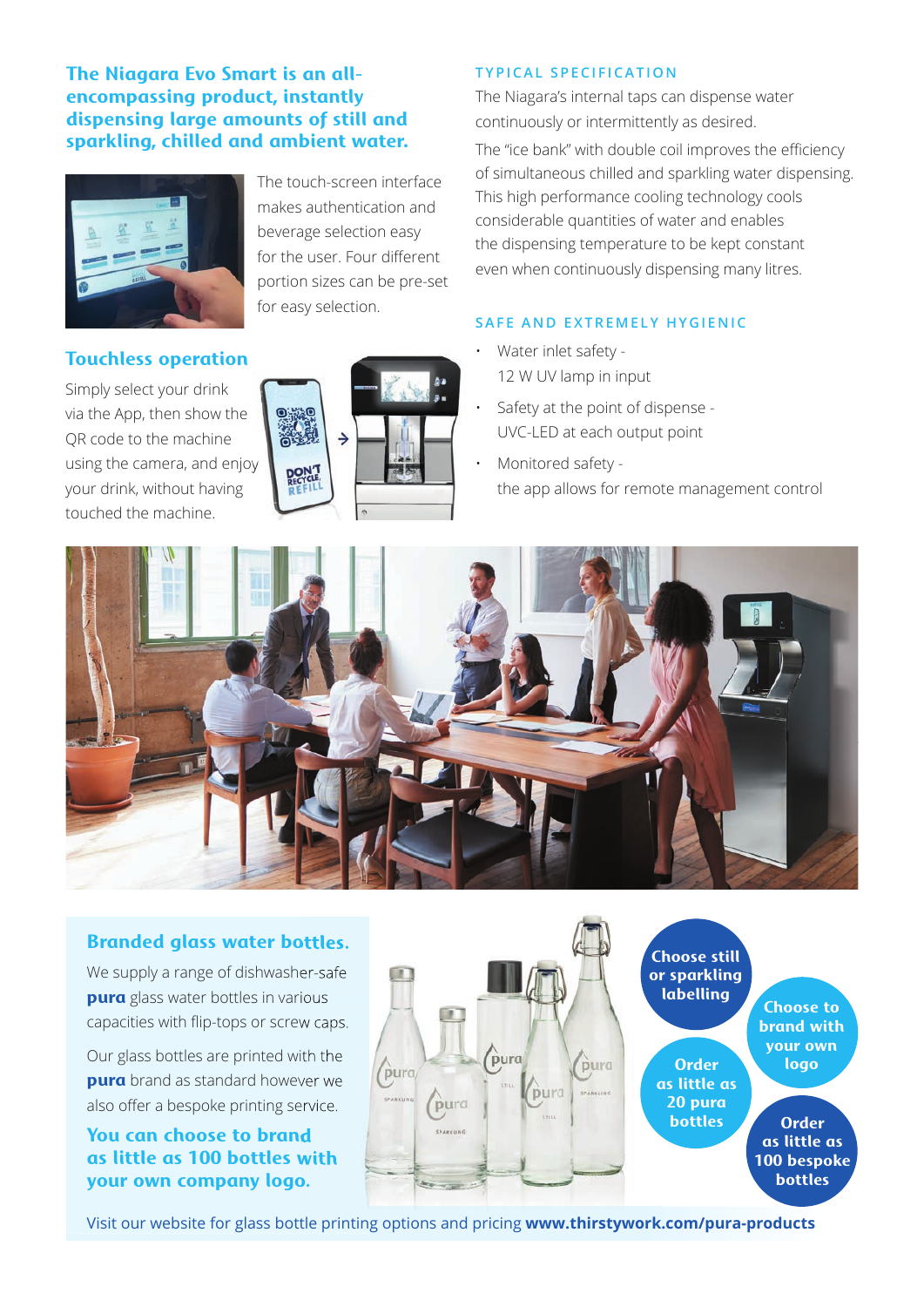#### **The Niagara Evo Smart is an allencompassing product, instantly dispensing large amounts of still and sparkling, chilled and ambient water.**



The touch-screen interface makes authentication and beverage selection easy for the user. Four different portion sizes can be pre-set for easy selection.

#### **Touchless operation**

Simply select your drink via the App, then show the QR code to the machine using the camera, and enjoy your drink, without having touched the machine.



#### **TYPICAL SPECIFICATION**

The Niagara's internal taps can dispense water continuously or intermittently as desired.

The "ice bank" with double coil improves the efficiency of simultaneous chilled and sparkling water dispensing. This high performance cooling technology cools considerable quantities of water and enables the dispensing temperature to be kept constant even when continuously dispensing many litres.

#### **SAFE AND EXTREMELY HYGIENIC**

- Water inlet safety 12 W UV lamp in input
- Safety at the point of dispense UVC-LED at each output point
- Monitored safety the app allows for remote management control



#### **Branded glass water bottles.**

We supply a range of dishwasher-safe **pura** glass water bottles in various capacities with flip-tops or screw caps.

Our glass bottles are printed with the **pura** brand as standard however we also offer a bespoke printing service.

#### **You can choose to brand as little as 100 bottles with your own company logo.**



Visit our website for glass bottle printing options and pricing **www.thirstywork.com/pura-products**